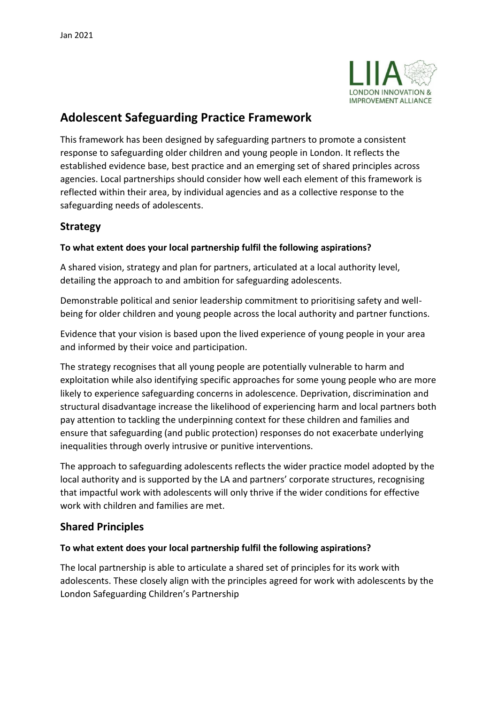

# **Adolescent Safeguarding Practice Framework**

This framework has been designed by safeguarding partners to promote a consistent response to safeguarding older children and young people in London. It reflects the established evidence base, best practice and an emerging set of shared principles across agencies. Local partnerships should consider how well each element of this framework is reflected within their area, by individual agencies and as a collective response to the safeguarding needs of adolescents.

## **Strategy**

#### **To what extent does your local partnership fulfil the following aspirations?**

A shared vision, strategy and plan for partners, articulated at a local authority level, detailing the approach to and ambition for safeguarding adolescents.

Demonstrable political and senior leadership commitment to prioritising safety and wellbeing for older children and young people across the local authority and partner functions.

Evidence that your vision is based upon the lived experience of young people in your area and informed by their voice and participation.

The strategy recognises that all young people are potentially vulnerable to harm and exploitation while also identifying specific approaches for some young people who are more likely to experience safeguarding concerns in adolescence. Deprivation, discrimination and structural disadvantage increase the likelihood of experiencing harm and local partners both pay attention to tackling the underpinning context for these children and families and ensure that safeguarding (and public protection) responses do not exacerbate underlying inequalities through overly intrusive or punitive interventions.

The approach to safeguarding adolescents reflects the wider practice model adopted by the local authority and is supported by the LA and partners' corporate structures, recognising that impactful work with adolescents will only thrive if the wider conditions for effective work with children and families are met.

## **Shared Principles**

#### **To what extent does your local partnership fulfil the following aspirations?**

The local partnership is able to articulate a shared set of principles for its work with adolescents. These closely align with the principles agreed for work with adolescents by the London Safeguarding Children's Partnership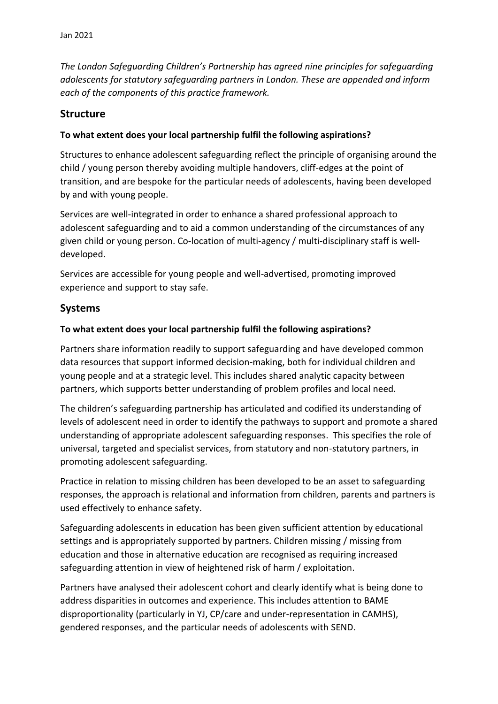*The London Safeguarding Children's Partnership has agreed nine principles for safeguarding adolescents for statutory safeguarding partners in London. These are appended and inform each of the components of this practice framework.*

#### **Structure**

#### **To what extent does your local partnership fulfil the following aspirations?**

Structures to enhance adolescent safeguarding reflect the principle of organising around the child / young person thereby avoiding multiple handovers, cliff-edges at the point of transition, and are bespoke for the particular needs of adolescents, having been developed by and with young people.

Services are well-integrated in order to enhance a shared professional approach to adolescent safeguarding and to aid a common understanding of the circumstances of any given child or young person. Co-location of multi-agency / multi-disciplinary staff is welldeveloped.

Services are accessible for young people and well-advertised, promoting improved experience and support to stay safe.

## **Systems**

#### **To what extent does your local partnership fulfil the following aspirations?**

Partners share information readily to support safeguarding and have developed common data resources that support informed decision-making, both for individual children and young people and at a strategic level. This includes shared analytic capacity between partners, which supports better understanding of problem profiles and local need.

The children's safeguarding partnership has articulated and codified its understanding of levels of adolescent need in order to identify the pathways to support and promote a shared understanding of appropriate adolescent safeguarding responses. This specifies the role of universal, targeted and specialist services, from statutory and non-statutory partners, in promoting adolescent safeguarding.

Practice in relation to missing children has been developed to be an asset to safeguarding responses, the approach is relational and information from children, parents and partners is used effectively to enhance safety.

Safeguarding adolescents in education has been given sufficient attention by educational settings and is appropriately supported by partners. Children missing / missing from education and those in alternative education are recognised as requiring increased safeguarding attention in view of heightened risk of harm / exploitation.

Partners have analysed their adolescent cohort and clearly identify what is being done to address disparities in outcomes and experience. This includes attention to BAME disproportionality (particularly in YJ, CP/care and under-representation in CAMHS), gendered responses, and the particular needs of adolescents with SEND.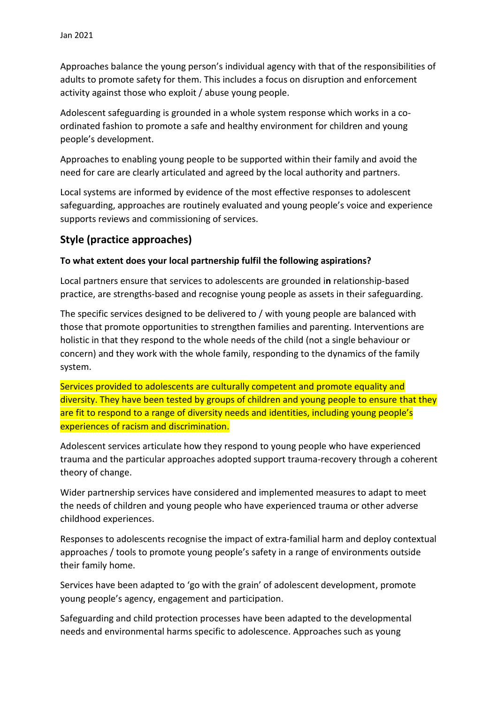Approaches balance the young person's individual agency with that of the responsibilities of adults to promote safety for them. This includes a focus on disruption and enforcement activity against those who exploit / abuse young people.

Adolescent safeguarding is grounded in a whole system response which works in a coordinated fashion to promote a safe and healthy environment for children and young people's development.

Approaches to enabling young people to be supported within their family and avoid the need for care are clearly articulated and agreed by the local authority and partners.

Local systems are informed by evidence of the most effective responses to adolescent safeguarding, approaches are routinely evaluated and young people's voice and experience supports reviews and commissioning of services.

## **Style (practice approaches)**

#### **To what extent does your local partnership fulfil the following aspirations?**

Local partners ensure that services to adolescents are grounded i**n** relationship-based practice, are strengths-based and recognise young people as assets in their safeguarding.

The specific services designed to be delivered to / with young people are balanced with those that promote opportunities to strengthen families and parenting. Interventions are holistic in that they respond to the whole needs of the child (not a single behaviour or concern) and they work with the whole family, responding to the dynamics of the family system.

Services provided to adolescents are culturally competent and promote equality and diversity. They have been tested by groups of children and young people to ensure that they are fit to respond to a range of diversity needs and identities, including young people's experiences of racism and discrimination.

Adolescent services articulate how they respond to young people who have experienced trauma and the particular approaches adopted support trauma-recovery through a coherent theory of change.

Wider partnership services have considered and implemented measures to adapt to meet the needs of children and young people who have experienced trauma or other adverse childhood experiences.

Responses to adolescents recognise the impact of extra-familial harm and deploy contextual approaches / tools to promote young people's safety in a range of environments outside their family home.

Services have been adapted to 'go with the grain' of adolescent development, promote young people's agency, engagement and participation.

Safeguarding and child protection processes have been adapted to the developmental needs and environmental harms specific to adolescence. Approaches such as young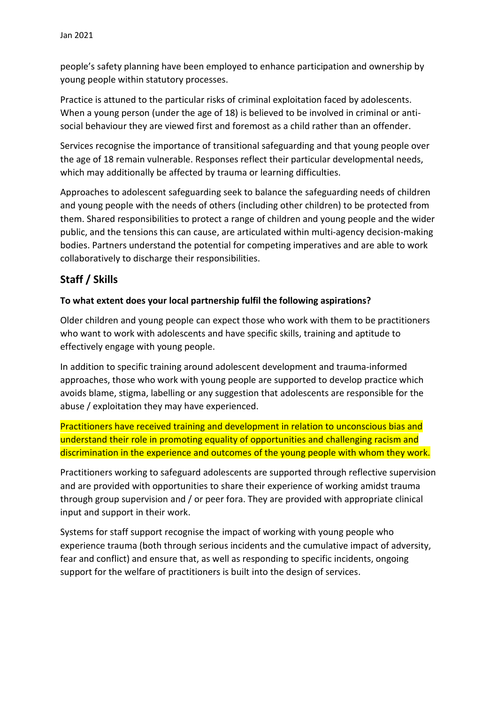people's safety planning have been employed to enhance participation and ownership by young people within statutory processes.

Practice is attuned to the particular risks of criminal exploitation faced by adolescents. When a young person (under the age of 18) is believed to be involved in criminal or antisocial behaviour they are viewed first and foremost as a child rather than an offender.

Services recognise the importance of transitional safeguarding and that young people over the age of 18 remain vulnerable. Responses reflect their particular developmental needs, which may additionally be affected by trauma or learning difficulties.

Approaches to adolescent safeguarding seek to balance the safeguarding needs of children and young people with the needs of others (including other children) to be protected from them. Shared responsibilities to protect a range of children and young people and the wider public, and the tensions this can cause, are articulated within multi-agency decision-making bodies. Partners understand the potential for competing imperatives and are able to work collaboratively to discharge their responsibilities.

## **Staff / Skills**

## **To what extent does your local partnership fulfil the following aspirations?**

Older children and young people can expect those who work with them to be practitioners who want to work with adolescents and have specific skills, training and aptitude to effectively engage with young people.

In addition to specific training around adolescent development and trauma-informed approaches, those who work with young people are supported to develop practice which avoids blame, stigma, labelling or any suggestion that adolescents are responsible for the abuse / exploitation they may have experienced.

Practitioners have received training and development in relation to unconscious bias and understand their role in promoting equality of opportunities and challenging racism and discrimination in the experience and outcomes of the young people with whom they work.

Practitioners working to safeguard adolescents are supported through reflective supervision and are provided with opportunities to share their experience of working amidst trauma through group supervision and / or peer fora. They are provided with appropriate clinical input and support in their work.

Systems for staff support recognise the impact of working with young people who experience trauma (both through serious incidents and the cumulative impact of adversity, fear and conflict) and ensure that, as well as responding to specific incidents, ongoing support for the welfare of practitioners is built into the design of services.